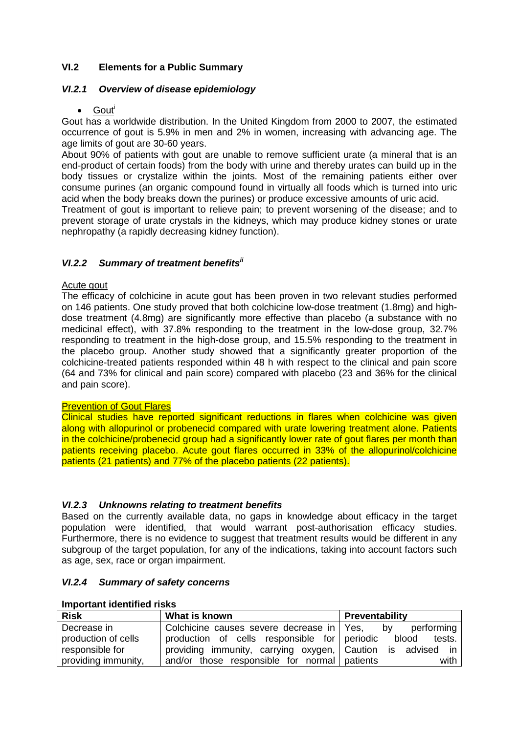## **VI.2 Elements for a Public Summary**

#### *VI.2.1 Overview of disease epidemiology*

• Gout<sup>i</sup>

Gout has a worldwide distribution. In the United Kingdom from 2000 to 2007, the estimated occurrence of gout is 5.9% in men and 2% in women, increasing with advancing age. The age limits of gout are 30-60 years.

About 90% of patients with gout are unable to remove sufficient urate (a mineral that is an end-product of certain foods) from the body with urine and thereby urates can build up in the body tissues or crystalize within the joints. Most of the remaining patients either over consume purines (an organic compound found in virtually all foods which is turned into uric acid when the body breaks down the purines) or produce excessive amounts of uric acid.

Treatment of gout is important to relieve pain; to prevent worsening of the disease; and to prevent storage of urate crystals in the kidneys, which may produce kidney stones or urate nephropathy (a rapidly decreasing kidney function).

## *VI.2.2 Summary of treatment benefitsii*

#### Acute gout

The efficacy of colchicine in acute gout has been proven in two relevant studies performed on 146 patients. One study proved that both colchicine low-dose treatment (1.8mg) and highdose treatment (4.8mg) are significantly more effective than placebo (a substance with no medicinal effect), with 37.8% responding to the treatment in the low-dose group, 32.7% responding to treatment in the high-dose group, and 15.5% responding to the treatment in the placebo group. Another study showed that a significantly greater proportion of the colchicine-treated patients responded within 48 h with respect to the clinical and pain score (64 and 73% for clinical and pain score) compared with placebo (23 and 36% for the clinical and pain score).

#### **Prevention of Gout Flares**

Clinical studies have reported significant reductions in flares when colchicine was given along with allopurinol or probenecid compared with urate lowering treatment alone. Patients in the colchicine/probenecid group had a significantly lower rate of gout flares per month than patients receiving placebo. Acute gout flares occurred in 33% of the allopurinol/colchicine patients (21 patients) and 77% of the placebo patients (22 patients).

## *VI.2.3 Unknowns relating to treatment benefits*

Based on the currently available data, no gaps in knowledge about efficacy in the target population were identified, that would warrant post-authorisation efficacy studies. Furthermore, there is no evidence to suggest that treatment results would be different in any subgroup of the target population, for any of the indications, taking into account factors such as age, sex, race or organ impairment.

## *VI.2.4 Summary of safety concerns*

| <b>Risk</b>         | What is known                                              | Preventability   |  |
|---------------------|------------------------------------------------------------|------------------|--|
| Decrease in         | Colchicine causes severe decrease in   Yes,                | performing<br>bv |  |
| production of cells | production of cells responsible for periodic               | blood<br>tests.  |  |
| responsible for     | providing immunity, carrying oxygen, Caution is advised in |                  |  |
| providing immunity, | and/or those responsible for normal patients               | with             |  |

#### **Important identified risks**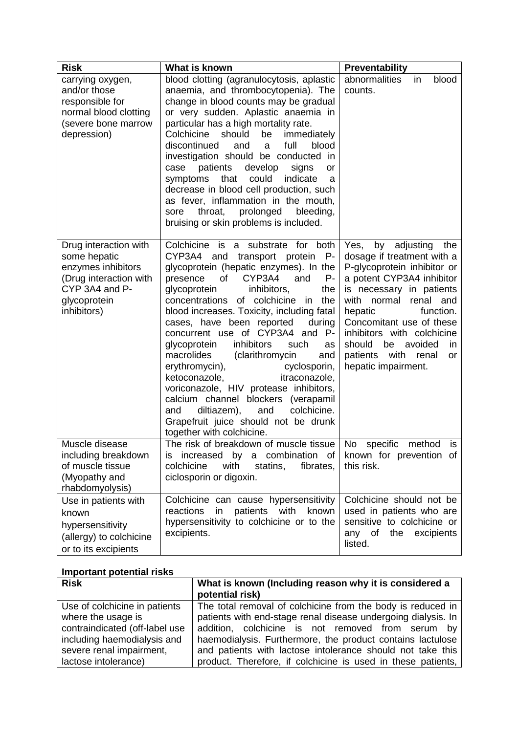| <b>Risk</b>                                                                                                                            | What is known                                                                                                                                                                                                                                                                                                                                                                                                                                                                                                                                                                                                                                                                                                                              | Preventability                                                                                                                                                                                                                                                                                                                                                           |
|----------------------------------------------------------------------------------------------------------------------------------------|--------------------------------------------------------------------------------------------------------------------------------------------------------------------------------------------------------------------------------------------------------------------------------------------------------------------------------------------------------------------------------------------------------------------------------------------------------------------------------------------------------------------------------------------------------------------------------------------------------------------------------------------------------------------------------------------------------------------------------------------|--------------------------------------------------------------------------------------------------------------------------------------------------------------------------------------------------------------------------------------------------------------------------------------------------------------------------------------------------------------------------|
| carrying oxygen,<br>and/or those<br>responsible for<br>normal blood clotting<br>(severe bone marrow<br>depression)                     | blood clotting (agranulocytosis, aplastic<br>anaemia, and thrombocytopenia). The<br>change in blood counts may be gradual<br>or very sudden. Aplastic anaemia in<br>particular has a high mortality rate.<br>Colchicine<br>should<br>immediately<br>be<br>discontinued<br>and<br>full<br>blood<br>a<br>investigation should be conducted in<br>patients<br>develop<br>case<br>signs<br>or<br>symptoms that<br>could<br>indicate<br>a<br>decrease in blood cell production, such<br>as fever, inflammation in the mouth,<br>throat,<br>prolonged<br>bleeding,<br>sore<br>bruising or skin problems is included.                                                                                                                             | abnormalities<br>blood<br>in<br>counts.                                                                                                                                                                                                                                                                                                                                  |
| Drug interaction with<br>some hepatic<br>enzymes inhibitors<br>(Drug interaction with<br>CYP 3A4 and P-<br>glycoprotein<br>inhibitors) | Colchicine is a substrate for both<br>CYP3A4 and transport protein<br>$P-$<br>glycoprotein (hepatic enzymes). In the<br>CYP3A4<br>of<br>and<br>$P -$<br>presence<br>glycoprotein<br>inhibitors,<br>the<br>concentrations of colchicine<br>the<br>in<br>blood increases. Toxicity, including fatal<br>cases, have been reported<br>during<br>concurrent use of CYP3A4 and<br>$P-$<br>inhibitors<br>glycoprotein<br>such<br>as<br>macrolides<br>(clarithromycin<br>and<br>erythromycin),<br>cyclosporin,<br>ketoconazole,<br>itraconazole,<br>voriconazole, HIV protease inhibitors,<br>calcium channel blockers (verapamil<br>colchicine.<br>and<br>diltiazem),<br>and<br>Grapefruit juice should not be drunk<br>together with colchicine. | Yes,<br>by adjusting<br>the<br>dosage if treatment with a<br>P-glycoprotein inhibitor or<br>a potent CYP3A4 inhibitor<br>is necessary in patients<br>with<br>normal<br>renal<br>and<br>function.<br>hepatic<br>Concomitant use of these<br>inhibitors with colchicine<br>should<br>avoided<br>be<br>in.<br>patients<br>with<br>renal<br><b>or</b><br>hepatic impairment. |
| Muscle disease<br>including breakdown<br>of muscle tissue<br>(Myopathy and<br>rhabdomyolysis)                                          | The risk of breakdown of muscle tissue<br>increased by a combination of<br>IS<br>colchicine<br>with<br>statins,<br>fibrates,<br>ciclosporin or digoxin.                                                                                                                                                                                                                                                                                                                                                                                                                                                                                                                                                                                    | No<br>specific<br>method<br>is<br>known for prevention of<br>this risk.                                                                                                                                                                                                                                                                                                  |
| Use in patients with<br>known<br>hypersensitivity<br>(allergy) to colchicine<br>or to its excipients                                   | Colchicine can cause hypersensitivity<br>patients with<br>reactions<br>known<br>in<br>hypersensitivity to colchicine or to the<br>excipients.                                                                                                                                                                                                                                                                                                                                                                                                                                                                                                                                                                                              | Colchicine should not be<br>used in patients who are<br>sensitive to colchicine or<br>any of the<br>excipients<br>listed.                                                                                                                                                                                                                                                |

# **Important potential risks**

| <b>Risk</b>                    | What is known (Including reason why it is considered a        |  |  |
|--------------------------------|---------------------------------------------------------------|--|--|
|                                | potential risk)                                               |  |  |
| Use of colchicine in patients  | The total removal of colchicine from the body is reduced in   |  |  |
| where the usage is             | patients with end-stage renal disease undergoing dialysis. In |  |  |
| contraindicated (off-label use | addition, colchicine is not removed from serum by             |  |  |
| including haemodialysis and    | haemodialysis. Furthermore, the product contains lactulose    |  |  |
| severe renal impairment,       | and patients with lactose intolerance should not take this    |  |  |
| lactose intolerance)           | product. Therefore, if colchicine is used in these patients,  |  |  |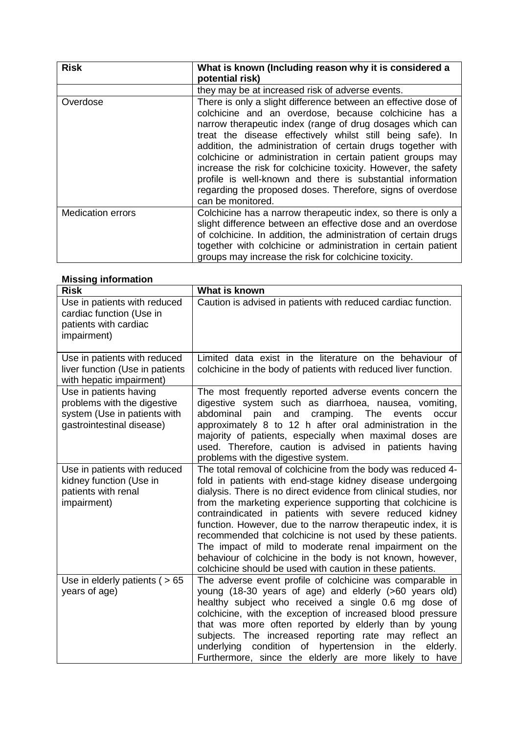| <b>Risk</b>              | What is known (Including reason why it is considered a<br>potential risk)                                                                                                                                                                                                                                                                                                                                                                                                                                                                                                                         |  |
|--------------------------|---------------------------------------------------------------------------------------------------------------------------------------------------------------------------------------------------------------------------------------------------------------------------------------------------------------------------------------------------------------------------------------------------------------------------------------------------------------------------------------------------------------------------------------------------------------------------------------------------|--|
|                          | they may be at increased risk of adverse events.                                                                                                                                                                                                                                                                                                                                                                                                                                                                                                                                                  |  |
| Overdose                 | There is only a slight difference between an effective dose of<br>colchicine and an overdose, because colchicine has a<br>narrow therapeutic index (range of drug dosages which can<br>treat the disease effectively whilst still being safe). In<br>addition, the administration of certain drugs together with<br>colchicine or administration in certain patient groups may<br>increase the risk for colchicine toxicity. However, the safety<br>profile is well-known and there is substantial information<br>regarding the proposed doses. Therefore, signs of overdose<br>can be monitored. |  |
| <b>Medication errors</b> | Colchicine has a narrow therapeutic index, so there is only a<br>slight difference between an effective dose and an overdose<br>of colchicine. In addition, the administration of certain drugs<br>together with colchicine or administration in certain patient<br>groups may increase the risk for colchicine toxicity.                                                                                                                                                                                                                                                                         |  |

| <b>Missing information</b>                                                                                         |                                                                                                                                                                                                                                                                                                                                                                                                                                                                                                                                                                                                                                            |  |
|--------------------------------------------------------------------------------------------------------------------|--------------------------------------------------------------------------------------------------------------------------------------------------------------------------------------------------------------------------------------------------------------------------------------------------------------------------------------------------------------------------------------------------------------------------------------------------------------------------------------------------------------------------------------------------------------------------------------------------------------------------------------------|--|
| <b>Risk</b>                                                                                                        | What is known                                                                                                                                                                                                                                                                                                                                                                                                                                                                                                                                                                                                                              |  |
| Use in patients with reduced<br>cardiac function (Use in<br>patients with cardiac<br>impairment)                   | Caution is advised in patients with reduced cardiac function.                                                                                                                                                                                                                                                                                                                                                                                                                                                                                                                                                                              |  |
| Use in patients with reduced<br>liver function (Use in patients<br>with hepatic impairment)                        | Limited data exist in the literature on the behaviour of<br>colchicine in the body of patients with reduced liver function.                                                                                                                                                                                                                                                                                                                                                                                                                                                                                                                |  |
| Use in patients having<br>problems with the digestive<br>system (Use in patients with<br>gastrointestinal disease) | The most frequently reported adverse events concern the<br>digestive system such as diarrhoea, nausea, vomiting,<br>and<br>cramping.<br>abdominal<br>pain<br>The<br>events<br>occur<br>approximately 8 to 12 h after oral administration in the<br>majority of patients, especially when maximal doses are<br>used. Therefore, caution is advised in patients having<br>problems with the digestive system.                                                                                                                                                                                                                                |  |
| Use in patients with reduced<br>kidney function (Use in<br>patients with renal<br>impairment)                      | The total removal of colchicine from the body was reduced 4-<br>fold in patients with end-stage kidney disease undergoing<br>dialysis. There is no direct evidence from clinical studies, nor<br>from the marketing experience supporting that colchicine is<br>contraindicated in patients with severe reduced kidney<br>function. However, due to the narrow therapeutic index, it is<br>recommended that colchicine is not used by these patients.<br>The impact of mild to moderate renal impairment on the<br>behaviour of colchicine in the body is not known, however,<br>colchicine should be used with caution in these patients. |  |
| Use in elderly patients ( $>65$<br>years of age)                                                                   | The adverse event profile of colchicine was comparable in<br>young (18-30 years of age) and elderly (>60 years old)<br>healthy subject who received a single 0.6 mg dose of<br>colchicine, with the exception of increased blood pressure<br>that was more often reported by elderly than by young<br>subjects. The increased reporting rate may reflect an<br>underlying condition of hypertension<br>in the<br>elderly.<br>Furthermore, since the elderly are more likely to have                                                                                                                                                        |  |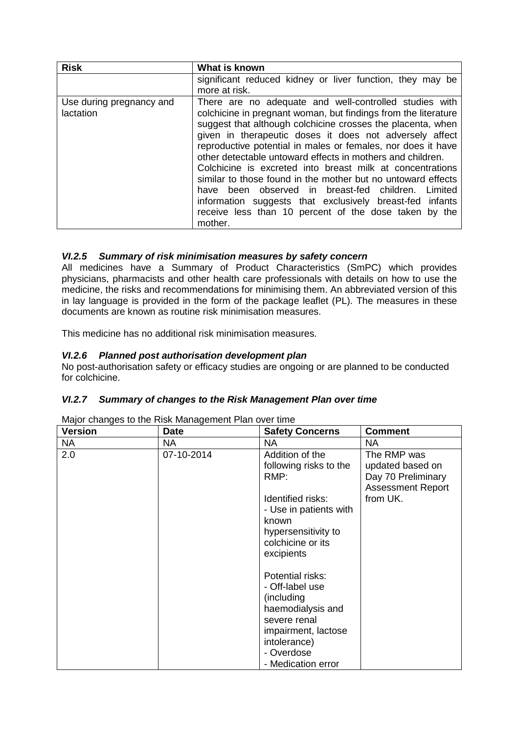| <b>Risk</b>                           | What is known                                                                                                                                                                                                                                                                                                                                                                                                                                                                                                                                                                                                                                                                                             |
|---------------------------------------|-----------------------------------------------------------------------------------------------------------------------------------------------------------------------------------------------------------------------------------------------------------------------------------------------------------------------------------------------------------------------------------------------------------------------------------------------------------------------------------------------------------------------------------------------------------------------------------------------------------------------------------------------------------------------------------------------------------|
|                                       | significant reduced kidney or liver function, they may be<br>more at risk.                                                                                                                                                                                                                                                                                                                                                                                                                                                                                                                                                                                                                                |
| Use during pregnancy and<br>lactation | There are no adequate and well-controlled studies with<br>colchicine in pregnant woman, but findings from the literature<br>suggest that although colchicine crosses the placenta, when<br>given in therapeutic doses it does not adversely affect<br>reproductive potential in males or females, nor does it have<br>other detectable untoward effects in mothers and children.<br>Colchicine is excreted into breast milk at concentrations<br>similar to those found in the mother but no untoward effects<br>been observed in breast-fed children.<br>Limited<br>have<br>information suggests that exclusively breast-fed infants<br>receive less than 10 percent of the dose taken by the<br>mother. |

# *VI.2.5 Summary of risk minimisation measures by safety concern*

All medicines have a Summary of Product Characteristics (SmPC) which provides physicians, pharmacists and other health care professionals with details on how to use the medicine, the risks and recommendations for minimising them. An abbreviated version of this in lay language is provided in the form of the package leaflet (PL). The measures in these documents are known as routine risk minimisation measures.

This medicine has no additional risk minimisation measures.

## *VI.2.6 Planned post authorisation development plan*

No post-authorisation safety or efficacy studies are ongoing or are planned to be conducted for colchicine.

#### *VI.2.7 Summary of changes to the Risk Management Plan over time*

| <b>Version</b> | <b>Date</b> | <b>Safety Concerns</b>                                                                                                                                             | <b>Comment</b>                                                                                |
|----------------|-------------|--------------------------------------------------------------------------------------------------------------------------------------------------------------------|-----------------------------------------------------------------------------------------------|
| NA.            | NA          | <b>NA</b>                                                                                                                                                          | NA.                                                                                           |
| 2.0            | 07-10-2014  | Addition of the<br>following risks to the<br>RMP:<br>Identified risks:<br>- Use in patients with<br>known<br>hypersensitivity to                                   | The RMP was<br>updated based on<br>Day 70 Preliminary<br><b>Assessment Report</b><br>from UK. |
|                |             | colchicine or its<br>excipients                                                                                                                                    |                                                                                               |
|                |             | Potential risks:<br>- Off-label use<br>(including)<br>haemodialysis and<br>severe renal<br>impairment, lactose<br>intolerance)<br>- Overdose<br>- Medication error |                                                                                               |

Major changes to the Risk Management Plan over time